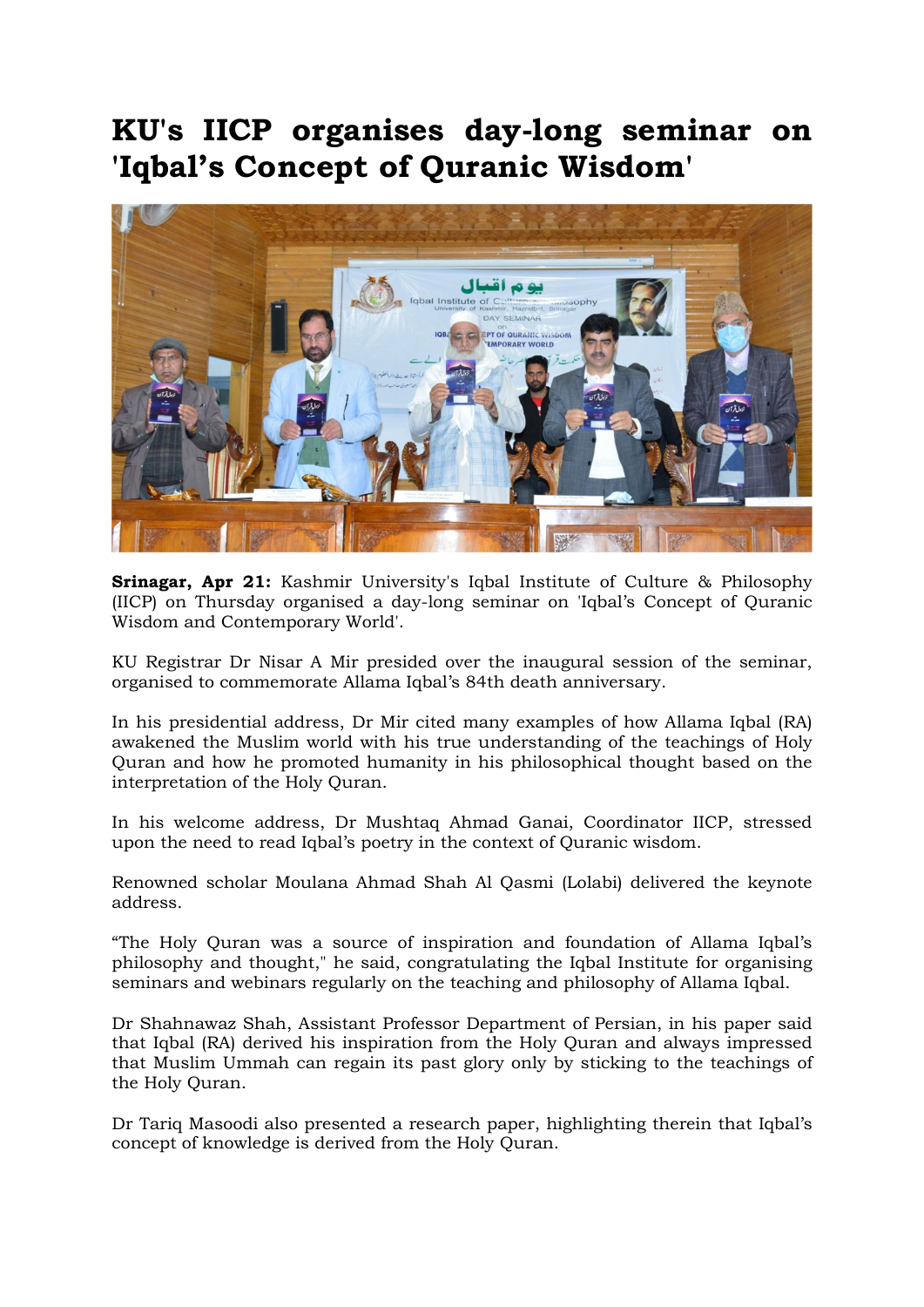## KU's IICP organises day-long seminar on 'Iqbal's Concept of Quranic Wisdom'



Srinagar, Apr 21: Kashmir University's Iqbal Institute of Culture & Philosophy (IICP) on Thursday organised a day-long seminar on 'Iqbal's Concept of Quranic Wisdom and Contemporary World'.

KU Registrar Dr Nisar A Mir presided over the inaugural session of the seminar, organised to commemorate Allama Iqbal's 84th death anniversary.

In his presidential address, Dr Mir cited many examples of how Allama Iqbal (RA) awakened the Muslim world with his true understanding of the teachings of Holy Quran and how he promoted humanity in his philosophical thought based on the interpretation of the Holy Quran.

In his welcome address, Dr Mushtaq Ahmad Ganai, Coordinator IICP, stressed upon the need to read Iqbal's poetry in the context of Quranic wisdom.

Renowned scholar Moulana Ahmad Shah Al Qasmi (Lolabi) delivered the keynote address.

"The Holy Quran was a source of inspiration and foundation of Allama Iqbal's philosophy and thought," he said, congratulating the Iqbal Institute for organising seminars and webinars regularly on the teaching and philosophy of Allama Iqbal.

Dr Shahnawaz Shah, Assistant Professor Department of Persian, in his paper said that Iqbal (RA) derived his inspiration from the Holy Quran and always impressed that Muslim Ummah can regain its past glory only by sticking to the teachings of the Holy Quran.

Dr Tariq Masoodi also presented a research paper, highlighting therein that Iqbal's concept of knowledge is derived from the Holy Quran.